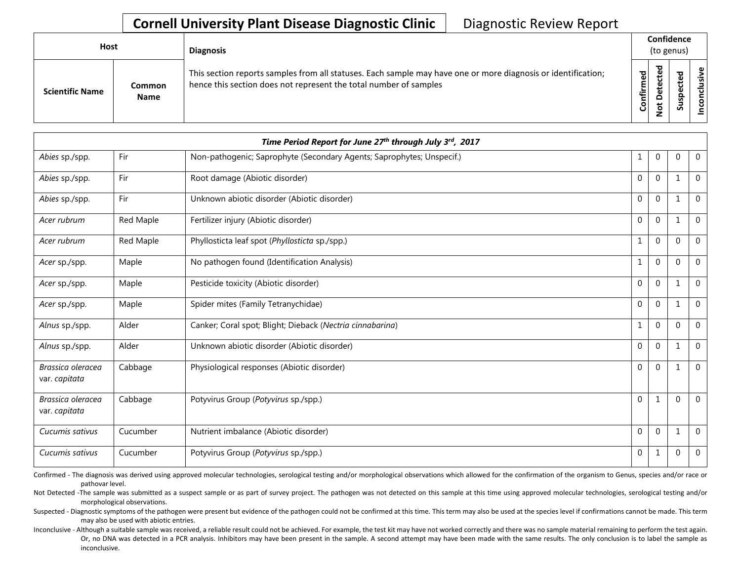| <b>Host</b>            |                       | <b>Diagnosis</b>                                                                                                                                                                   | (to genus) | Confidence                                      |   |                 |
|------------------------|-----------------------|------------------------------------------------------------------------------------------------------------------------------------------------------------------------------------|------------|-------------------------------------------------|---|-----------------|
| <b>Scientific Name</b> | Common<br><b>Name</b> | This section reports samples from all statuses. Each sample may have one or more diagnosis or identification;<br>hence this section does not represent the total number of samples | Confirmed  | ъ<br>ن<br>Φ<br>سه<br>$\Omega$<br>پ<br>$\bullet$ | ທ | ω<br>usiv<br>᠊ᠣ |

|                                    |           | Time Period Report for June 27th through July 3rd, 2017               |              |                |              |                |
|------------------------------------|-----------|-----------------------------------------------------------------------|--------------|----------------|--------------|----------------|
| Abies sp./spp.                     | Fir       | Non-pathogenic; Saprophyte (Secondary Agents; Saprophytes; Unspecif.) | 1            | $\overline{0}$ | $\Omega$     | $\overline{0}$ |
| Abies sp./spp.                     | Fir       | Root damage (Abiotic disorder)                                        | $\mathbf{0}$ | $\mathbf{0}$   | $\mathbf{1}$ | $\overline{0}$ |
| Abies sp./spp.                     | Fir       | Unknown abiotic disorder (Abiotic disorder)                           | $\mathbf{0}$ | $\overline{0}$ |              | $\mathbf 0$    |
| Acer rubrum                        | Red Maple | Fertilizer injury (Abiotic disorder)                                  | $\mathbf{0}$ | $\mathbf{0}$   | 1            | $\overline{0}$ |
| Acer rubrum                        | Red Maple | Phyllosticta leaf spot (Phyllosticta sp./spp.)                        | 1            | $\overline{0}$ | $\Omega$     | $\overline{0}$ |
| Acer sp./spp.                      | Maple     | No pathogen found (Identification Analysis)                           | 1            | $\Omega$       | $\Omega$     | $\mathbf 0$    |
| Acer sp./spp.                      | Maple     | Pesticide toxicity (Abiotic disorder)                                 | $\mathbf{0}$ | $\mathbf{0}$   | 1            | $\mathbf 0$    |
| Acer sp./spp.                      | Maple     | Spider mites (Family Tetranychidae)                                   | $\Omega$     | $\mathbf{0}$   | 1            | $\mathbf 0$    |
| Alnus sp./spp.                     | Alder     | Canker; Coral spot; Blight; Dieback (Nectria cinnabarina)             | 1            | $\mathbf{0}$   | $\Omega$     | $\overline{0}$ |
| Alnus sp./spp.                     | Alder     | Unknown abiotic disorder (Abiotic disorder)                           | $\mathbf{0}$ | $\mathbf{0}$   | 1            | $\overline{0}$ |
| Brassica oleracea<br>var. capitata | Cabbage   | Physiological responses (Abiotic disorder)                            | $\mathbf{0}$ | $\mathbf{0}$   | 1            | $\overline{0}$ |
| Brassica oleracea<br>var. capitata | Cabbage   | Potyvirus Group (Potyvirus sp./spp.)                                  | $\Omega$     | $\mathbf{1}$   | $\Omega$     | $\overline{0}$ |
| Cucumis sativus                    | Cucumber  | Nutrient imbalance (Abiotic disorder)                                 | $\mathbf{0}$ | $\mathbf{0}$   | 1            | $\overline{0}$ |
| Cucumis sativus                    | Cucumber  | Potyvirus Group (Potyvirus sp./spp.)                                  | 0            | 1              | 0            | 0              |

Confirmed - The diagnosis was derived using approved molecular technologies, serological testing and/or morphological observations which allowed for the confirmation of the organism to Genus, species and/or race or pathovar level.

Not Detected -The sample was submitted as a suspect sample or as part of survey project. The pathogen was not detected on this sample at this time using approved molecular technologies, serological testing and/or morphological observations.

Suspected - Diagnostic symptoms of the pathogen were present but evidence of the pathogen could not be confirmed at this time. This term may also be used at the species level if confirmations cannot be made. This term may also be used with abiotic entries.

Inconclusive - Although a suitable sample was received, a reliable result could not be achieved. For example, the test kit may have not worked correctly and there was no sample material remaining to perform the test again. Or, no DNA was detected in a PCR analysis. Inhibitors may have been present in the sample. A second attempt may have been made with the same results. The only conclusion is to label the sample as inconclusive.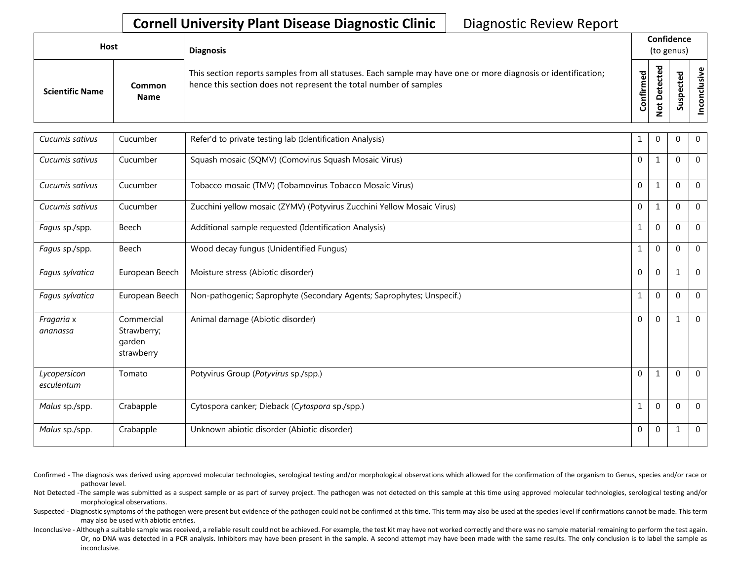| Host |                        |                              | <b>Diagnosis</b>                                                                                                                                                                   | Confidence<br>(to genus) |         |   |                        |
|------|------------------------|------------------------------|------------------------------------------------------------------------------------------------------------------------------------------------------------------------------------|--------------------------|---------|---|------------------------|
|      | <b>Scientific Name</b> | <b>Common</b><br><b>Name</b> | This section reports samples from all statuses. Each sample may have one or more diagnosis or identification;<br>hence this section does not represent the total number of samples | Confirmed                | 73<br>o | s | .<br>Ne<br>š<br>ಕ<br>g |

| Cucumis sativus            | Cucumber                                          | Refer'd to private testing lab (Identification Analysis)               |              | $\overline{0}$ | 0        | $\mathbf 0$    |
|----------------------------|---------------------------------------------------|------------------------------------------------------------------------|--------------|----------------|----------|----------------|
| Cucumis sativus            | Cucumber                                          | Squash mosaic (SQMV) (Comovirus Squash Mosaic Virus)                   | $\mathbf{0}$ | 1              | $\Omega$ | $\Omega$       |
| Cucumis sativus            | Cucumber                                          | Tobacco mosaic (TMV) (Tobamovirus Tobacco Mosaic Virus)                | $\mathbf 0$  | 1              | $\Omega$ | $\overline{0}$ |
| Cucumis sativus            | Cucumber                                          | Zucchini yellow mosaic (ZYMV) (Potyvirus Zucchini Yellow Mosaic Virus) | $\mathbf{0}$ | 1              | $\Omega$ | $\overline{0}$ |
| Fagus sp./spp.             | Beech                                             | Additional sample requested (Identification Analysis)                  |              | $\mathbf{0}$   | $\Omega$ | $\overline{0}$ |
| Fagus sp./spp.             | Beech                                             | Wood decay fungus (Unidentified Fungus)                                | 1            | $\mathbf 0$    | $\Omega$ | $\overline{0}$ |
| Fagus sylvatica            | European Beech                                    | Moisture stress (Abiotic disorder)                                     | $\mathbf 0$  | $\mathbf 0$    | 1        | $\mathbf 0$    |
| Fagus sylvatica            | European Beech                                    | Non-pathogenic; Saprophyte (Secondary Agents; Saprophytes; Unspecif.)  | 1            | $\mathbf{0}$   | $\Omega$ | $\overline{0}$ |
| Fragaria x<br>ananassa     | Commercial<br>Strawberry;<br>garden<br>strawberry | Animal damage (Abiotic disorder)                                       | $\Omega$     | $\Omega$       |          | $\Omega$       |
| Lycopersicon<br>esculentum | Tomato                                            | Potyvirus Group (Potyvirus sp./spp.)                                   | $\mathbf{0}$ | 1              | $\Omega$ | $\Omega$       |
| Malus sp./spp.             | Crabapple                                         | Cytospora canker; Dieback (Cytospora sp./spp.)                         | 1            | $\mathbf{0}$   | $\Omega$ | $\mathbf 0$    |
| Malus sp./spp.             | Crabapple                                         | Unknown abiotic disorder (Abiotic disorder)                            | 0            | $\overline{0}$ |          | $\overline{0}$ |

- Confirmed The diagnosis was derived using approved molecular technologies, serological testing and/or morphological observations which allowed for the confirmation of the organism to Genus, species and/or race or pathovar level.
- Not Detected -The sample was submitted as a suspect sample or as part of survey project. The pathogen was not detected on this sample at this time using approved molecular technologies, serological testing and/or morphological observations.
- Suspected Diagnostic symptoms of the pathogen were present but evidence of the pathogen could not be confirmed at this time. This term may also be used at the species level if confirmations cannot be made. This term may also be used with abiotic entries.
- Inconclusive Although a suitable sample was received, a reliable result could not be achieved. For example, the test kit may have not worked correctly and there was no sample material remaining to perform the test again. Or, no DNA was detected in a PCR analysis. Inhibitors may have been present in the sample. A second attempt may have been made with the same results. The only conclusion is to label the sample as inconclusive.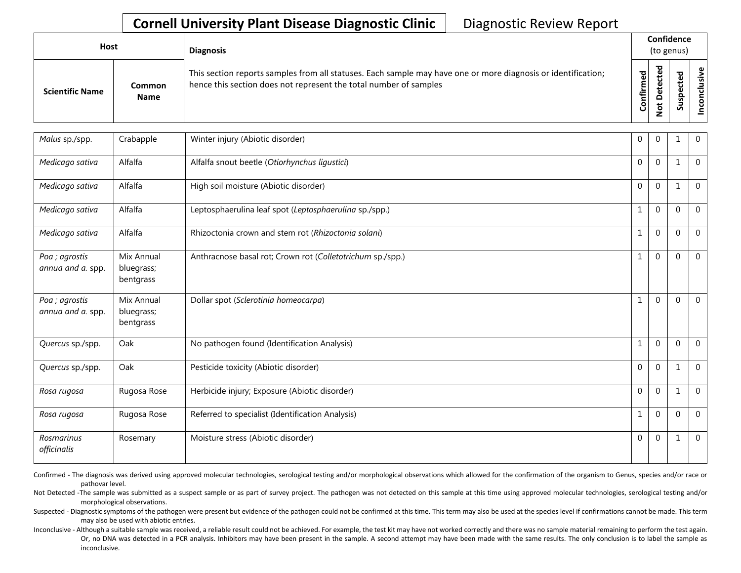| Host                   |                       | <b>Diagnosis</b>                                                                                                                                                                   | Confidence<br>(to genus) |        |   |                                    |
|------------------------|-----------------------|------------------------------------------------------------------------------------------------------------------------------------------------------------------------------------|--------------------------|--------|---|------------------------------------|
| <b>Scientific Name</b> | Common<br><b>Name</b> | This section reports samples from all statuses. Each sample may have one or more diagnosis or identification;<br>hence this section does not represent the total number of samples | Confirmed                | ъ<br>≏ | s | $\mathbf \omega$<br>usiv<br>5<br>g |

| Malus sp./spp.                      | Crabapple                             | Winter injury (Abiotic disorder)                           | 0            | $\overline{0}$ |              | $\mathbf 0$    |
|-------------------------------------|---------------------------------------|------------------------------------------------------------|--------------|----------------|--------------|----------------|
| Medicago sativa                     | Alfalfa                               | Alfalfa snout beetle (Otiorhynchus ligustici)              | $\mathbf 0$  | $\mathbf 0$    | 1            | $\mathbf 0$    |
| Medicago sativa                     | Alfalfa                               | High soil moisture (Abiotic disorder)                      | $\mathbf{0}$ | $\mathbf{0}$   | $\mathbf{1}$ | $\mathbf 0$    |
| Medicago sativa                     | Alfalfa                               | Leptosphaerulina leaf spot (Leptosphaerulina sp./spp.)     | 1            | $\mathbf{0}$   | $\Omega$     | $\overline{0}$ |
| Medicago sativa                     | Alfalfa                               | Rhizoctonia crown and stem rot (Rhizoctonia solani)        | $\mathbf{1}$ | $\mathbf{0}$   | $\Omega$     | $\mathbf 0$    |
| Poa ; agrostis<br>annua and a. spp. | Mix Annual<br>bluegrass;<br>bentgrass | Anthracnose basal rot; Crown rot (Colletotrichum sp./spp.) | $\mathbf{1}$ | $\mathbf{0}$   | $\Omega$     | $\mathbf 0$    |
| Poa ; agrostis<br>annua and a. spp. | Mix Annual<br>bluegrass;<br>bentgrass | Dollar spot (Sclerotinia homeocarpa)                       | 1            | $\mathbf{0}$   | $\Omega$     | $\overline{0}$ |
| Quercus sp./spp.                    | Oak                                   | No pathogen found (Identification Analysis)                | 1            | $\mathbf{0}$   | $\Omega$     | $\overline{0}$ |
| Quercus sp./spp.                    | Oak                                   | Pesticide toxicity (Abiotic disorder)                      | $\mathbf{0}$ | $\mathbf{0}$   |              | $\mathbf 0$    |
| Rosa rugosa                         | Rugosa Rose                           | Herbicide injury; Exposure (Abiotic disorder)              | $\mathbf{0}$ | $\mathbf{0}$   | 1            | $\mathbf 0$    |
| Rosa rugosa                         | Rugosa Rose                           | Referred to specialist (Identification Analysis)           | 1            | $\mathbf{0}$   | $\Omega$     | $\overline{0}$ |
| Rosmarinus<br>officinalis           | Rosemary                              | Moisture stress (Abiotic disorder)                         | $\Omega$     | $\Omega$       | 1            | $\mathbf 0$    |

Confirmed - The diagnosis was derived using approved molecular technologies, serological testing and/or morphological observations which allowed for the confirmation of the organism to Genus, species and/or race or pathovar level.

Not Detected -The sample was submitted as a suspect sample or as part of survey project. The pathogen was not detected on this sample at this time using approved molecular technologies, serological testing and/or morphological observations.

Suspected - Diagnostic symptoms of the pathogen were present but evidence of the pathogen could not be confirmed at this time. This term may also be used at the species level if confirmations cannot be made. This term may also be used with abiotic entries.

Inconclusive - Although a suitable sample was received, a reliable result could not be achieved. For example, the test kit may have not worked correctly and there was no sample material remaining to perform the test again. Or, no DNA was detected in a PCR analysis. Inhibitors may have been present in the sample. A second attempt may have been made with the same results. The only conclusion is to label the sample as inconclusive.